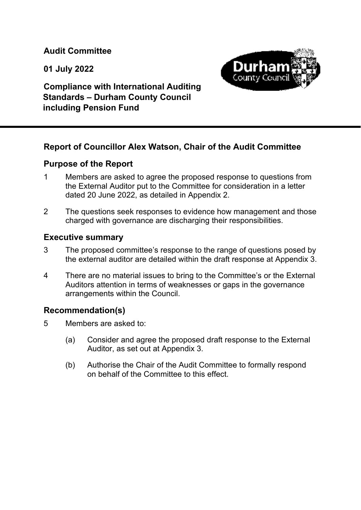**Audit Committee** 

 **01 July 2022** 



 **Compliance with International Auditing Standards – Durham County Council including Pension Fund** 

# **Report of Councillor Alex Watson, Chair of the Audit Committee**

# **Purpose of the Report**

- 1 Members are asked to agree the proposed response to questions from the External Auditor put to the Committee for consideration in a letter dated 20 June 2022, as detailed in Appendix 2.
- 2 The questions seek responses to evidence how management and those charged with governance are discharging their responsibilities.

# **Executive summary**

- 3 The proposed committee's response to the range of questions posed by the external auditor are detailed within the draft response at Appendix 3.
- 4 There are no material issues to bring to the Committee's or the External Auditors attention in terms of weaknesses or gaps in the governance arrangements within the Council.

# **Recommendation(s)**

- 5 Members are asked to:
	- (a) Consider and agree the proposed draft response to the External Auditor, as set out at Appendix 3.
	- (b) Authorise the Chair of the Audit Committee to formally respond on behalf of the Committee to this effect.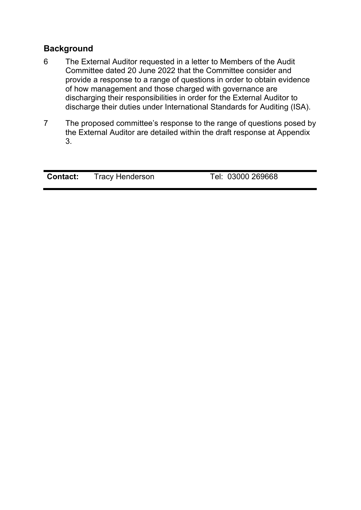# **Background**

- 6 The External Auditor requested in a letter to Members of the Audit Committee dated 20 June 2022 that the Committee consider and provide a response to a range of questions in order to obtain evidence of how management and those charged with governance are discharging their responsibilities in order for the External Auditor to discharge their duties under International Standards for Auditing (ISA).
- 7 The proposed committee's response to the range of questions posed by the External Auditor are detailed within the draft response at Appendix 3.

| <b>Contact:</b> | <b>Tracy Henderson</b> | Tel: 03000 269668 |
|-----------------|------------------------|-------------------|
|                 |                        |                   |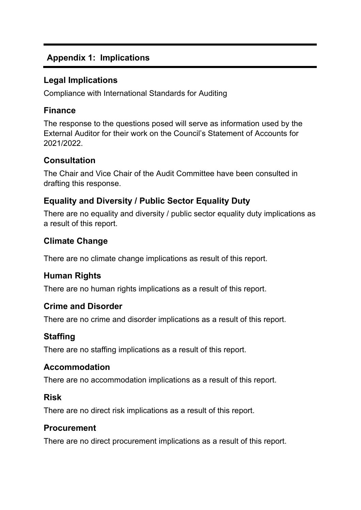# **Appendix 1: Implications**

# **Legal Implications**

Compliance with International Standards for Auditing

## **Finance**

The response to the questions posed will serve as information used by the External Auditor for their work on the Council's Statement of Accounts for 2021/2022.

## **Consultation**

The Chair and Vice Chair of the Audit Committee have been consulted in drafting this response.

# **Equality and Diversity / Public Sector Equality Duty**

There are no equality and diversity / public sector equality duty implications as a result of this report.

# **Climate Change**

There are no climate change implications as result of this report.

# **Human Rights**

There are no human rights implications as a result of this report.

## **Crime and Disorder**

There are no crime and disorder implications as a result of this report.

# **Staffing**

There are no staffing implications as a result of this report.

## **Accommodation**

There are no accommodation implications as a result of this report.

## **Risk**

There are no direct risk implications as a result of this report.

## **Procurement**

There are no direct procurement implications as a result of this report.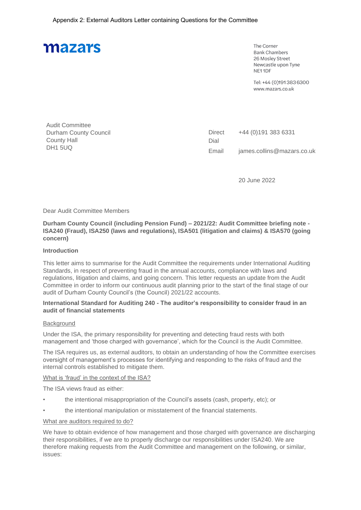The Corner **Bank Chambers** 26 Mosley Street Newcastle upon Tyne NF11DF

Tel: +44 (0)1913836300 www.mazars.co.uk

| <b>Audit Committee</b>       |  |
|------------------------------|--|
| <b>Durham County Council</b> |  |
| <b>County Hall</b>           |  |
| DH1 5UQ                      |  |

Direct Dial +44 (0)191 383 6331 Email james.collins@mazars.co.uk

20 June 2022

#### Dear Audit Committee Members

**Durham County Council (including Pension Fund) – 2021/22: Audit Committee briefing note - ISA240 (Fraud), ISA250 (laws and regulations), ISA501 (litigation and claims) & ISA570 (going concern)**

#### **Introduction**

This letter aims to summarise for the Audit Committee the requirements under International Auditing Standards, in respect of preventing fraud in the annual accounts, compliance with laws and regulations, litigation and claims, and going concern. This letter requests an update from the Audit Committee in order to inform our continuous audit planning prior to the start of the final stage of our audit of Durham County Council's (the Council) 2021/22 accounts.

#### **International Standard for Auditing 240 - The auditor's responsibility to consider fraud in an audit of financial statements**

#### **Background**

Under the ISA, the primary responsibility for preventing and detecting fraud rests with both management and 'those charged with governance', which for the Council is the Audit Committee.

The ISA requires us, as external auditors, to obtain an understanding of how the Committee exercises oversight of management's processes for identifying and responding to the risks of fraud and the internal controls established to mitigate them.

#### What is 'fraud' in the context of the ISA?

The ISA views fraud as either:

- the intentional misappropriation of the Council's assets (cash, property, etc); or
- the intentional manipulation or misstatement of the financial statements.

#### What are auditors required to do?

We have to obtain evidence of how management and those charged with governance are discharging their responsibilities, if we are to properly discharge our responsibilities under ISA240. We are therefore making requests from the Audit Committee and management on the following, or similar, issues: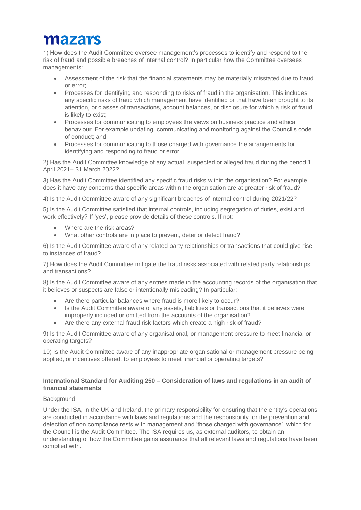1) How does the Audit Committee oversee management's processes to identify and respond to the risk of fraud and possible breaches of internal control? In particular how the Committee oversees managements:

- Assessment of the risk that the financial statements may be materially misstated due to fraud or error;
- Processes for identifying and responding to risks of fraud in the organisation. This includes any specific risks of fraud which management have identified or that have been brought to its attention, or classes of transactions, account balances, or disclosure for which a risk of fraud is likely to exist;
- Processes for communicating to employees the views on business practice and ethical behaviour. For example updating, communicating and monitoring against the Council's code of conduct; and
- Processes for communicating to those charged with governance the arrangements for identifying and responding to fraud or error

2) Has the Audit Committee knowledge of any actual, suspected or alleged fraud during the period 1 April 2021– 31 March 2022?

3) Has the Audit Committee identified any specific fraud risks within the organisation? For example does it have any concerns that specific areas within the organisation are at greater risk of fraud?

4) Is the Audit Committee aware of any significant breaches of internal control during 2021/22?

5) Is the Audit Committee satisfied that internal controls, including segregation of duties, exist and work effectively? If 'yes', please provide details of these controls. If not:

- Where are the risk areas?
- What other controls are in place to prevent, deter or detect fraud?

6) Is the Audit Committee aware of any related party relationships or transactions that could give rise to instances of fraud?

7) How does the Audit Committee mitigate the fraud risks associated with related party relationships and transactions?

8) Is the Audit Committee aware of any entries made in the accounting records of the organisation that it believes or suspects are false or intentionally misleading? In particular:

- Are there particular balances where fraud is more likely to occur?
- Is the Audit Committee aware of any assets, liabilities or transactions that it believes were improperly included or omitted from the accounts of the organisation?
- Are there any external fraud risk factors which create a high risk of fraud?

9) Is the Audit Committee aware of any organisational, or management pressure to meet financial or operating targets?

10) Is the Audit Committee aware of any inappropriate organisational or management pressure being applied, or incentives offered, to employees to meet financial or operating targets?

#### **International Standard for Auditing 250 – Consideration of laws and regulations in an audit of financial statements**

#### **Background**

Under the ISA, in the UK and Ireland, the primary responsibility for ensuring that the entity's operations are conducted in accordance with laws and regulations and the responsibility for the prevention and detection of non compliance rests with management and 'those charged with governance', which for the Council is the Audit Committee. The ISA requires us, as external auditors, to obtain an understanding of how the Committee gains assurance that all relevant laws and regulations have been complied with.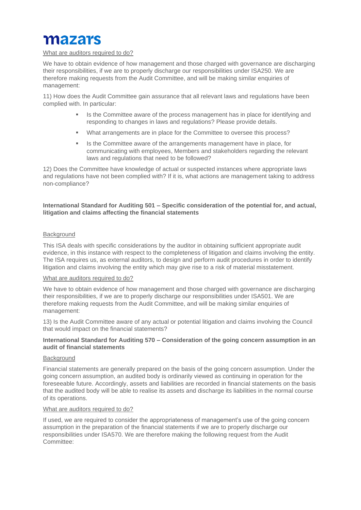#### What are auditors required to do?

We have to obtain evidence of how management and those charged with governance are discharging their responsibilities, if we are to properly discharge our responsibilities under ISA250. We are therefore making requests from the Audit Committee, and will be making similar enquiries of management:

11) How does the Audit Committee gain assurance that all relevant laws and regulations have been complied with. In particular:

- Is the Committee aware of the process management has in place for identifying and responding to changes in laws and regulations? Please provide details.
- What arrangements are in place for the Committee to oversee this process?
- **•** Is the Committee aware of the arrangements management have in place, for communicating with employees, Members and stakeholders regarding the relevant laws and regulations that need to be followed?

12) Does the Committee have knowledge of actual or suspected instances where appropriate laws and regulations have not been complied with? If it is, what actions are management taking to address non-compliance?

#### **International Standard for Auditing 501 – Specific consideration of the potential for, and actual, litigation and claims affecting the financial statements**

#### **Background**

This ISA deals with specific considerations by the auditor in obtaining sufficient appropriate audit evidence, in this instance with respect to the completeness of litigation and claims involving the entity. The ISA requires us, as external auditors, to design and perform audit procedures in order to identify litigation and claims involving the entity which may give rise to a risk of material misstatement.

#### What are auditors required to do?

We have to obtain evidence of how management and those charged with governance are discharging their responsibilities, if we are to properly discharge our responsibilities under ISA501. We are therefore making requests from the Audit Committee, and will be making similar enquiries of management:

13) Is the Audit Committee aware of any actual or potential litigation and claims involving the Council that would impact on the financial statements?

#### **International Standard for Auditing 570 – Consideration of the going concern assumption in an audit of financial statements**

#### **Background**

Financial statements are generally prepared on the basis of the going concern assumption. Under the going concern assumption, an audited body is ordinarily viewed as continuing in operation for the foreseeable future. Accordingly, assets and liabilities are recorded in financial statements on the basis that the audited body will be able to realise its assets and discharge its liabilities in the normal course of its operations.

#### What are auditors required to do?

If used, we are required to consider the appropriateness of management's use of the going concern assumption in the preparation of the financial statements if we are to properly discharge our responsibilities under ISA570. We are therefore making the following request from the Audit Committee: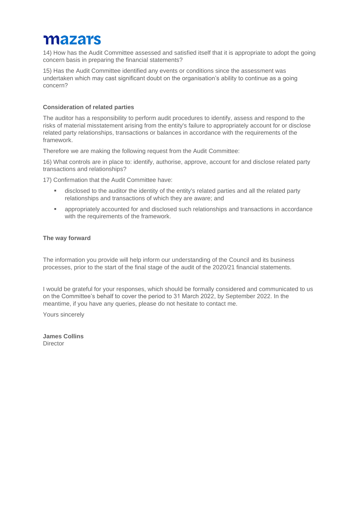14) How has the Audit Committee assessed and satisfied itself that it is appropriate to adopt the going concern basis in preparing the financial statements?

15) Has the Audit Committee identified any events or conditions since the assessment was undertaken which may cast significant doubt on the organisation's ability to continue as a going concern?

#### **Consideration of related parties**

The auditor has a responsibility to perform audit procedures to identify, assess and respond to the risks of material misstatement arising from the entity's failure to appropriately account for or disclose related party relationships, transactions or balances in accordance with the requirements of the framework.

Therefore we are making the following request from the Audit Committee:

16) What controls are in place to: identify, authorise, approve, account for and disclose related party transactions and relationships?

17) Confirmation that the Audit Committee have:

- disclosed to the auditor the identity of the entity's related parties and all the related party relationships and transactions of which they are aware; and
- appropriately accounted for and disclosed such relationships and transactions in accordance with the requirements of the framework.

#### **The way forward**

The information you provide will help inform our understanding of the Council and its business processes, prior to the start of the final stage of the audit of the 2020/21 financial statements.

I would be grateful for your responses, which should be formally considered and communicated to us on the Committee's behalf to cover the period to 31 March 2022, by September 2022. In the meantime, if you have any queries, please do not hesitate to contact me.

Yours sincerely

**James Collins Director**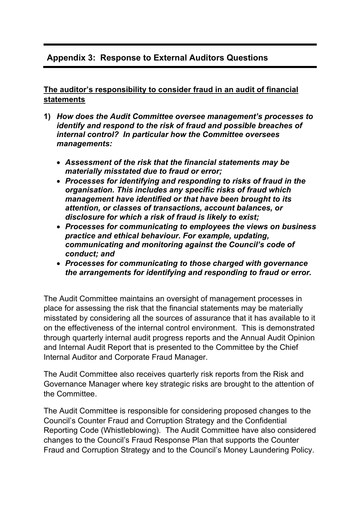# **Appendix 3: Response to External Auditors Questions**

## **The auditor's responsibility to consider fraud in an audit of financial statements**

- **1)** *How does the Audit Committee oversee management's processes to identify and respond to the risk of fraud and possible breaches of internal control? In particular how the Committee oversees managements:* 
	- *Assessment of the risk that the financial statements may be materially misstated due to fraud or error;*
	- *Processes for identifying and responding to risks of fraud in the organisation. This includes any specific risks of fraud which management have identified or that have been brought to its attention, or classes of transactions, account balances, or disclosure for which a risk of fraud is likely to exist;*
	- *Processes for communicating to employees the views on business practice and ethical behaviour. For example, updating, communicating and monitoring against the Council's code of conduct; and*
	- *Processes for communicating to those charged with governance the arrangements for identifying and responding to fraud or error.*

The Audit Committee maintains an oversight of management processes in place for assessing the risk that the financial statements may be materially misstated by considering all the sources of assurance that it has available to it on the effectiveness of the internal control environment. This is demonstrated through quarterly internal audit progress reports and the Annual Audit Opinion and Internal Audit Report that is presented to the Committee by the Chief Internal Auditor and Corporate Fraud Manager.

The Audit Committee also receives quarterly risk reports from the Risk and Governance Manager where key strategic risks are brought to the attention of the Committee.

The Audit Committee is responsible for considering proposed changes to the Council's Counter Fraud and Corruption Strategy and the Confidential Reporting Code (Whistleblowing). The Audit Committee have also considered changes to the Council's Fraud Response Plan that supports the Counter Fraud and Corruption Strategy and to the Council's Money Laundering Policy.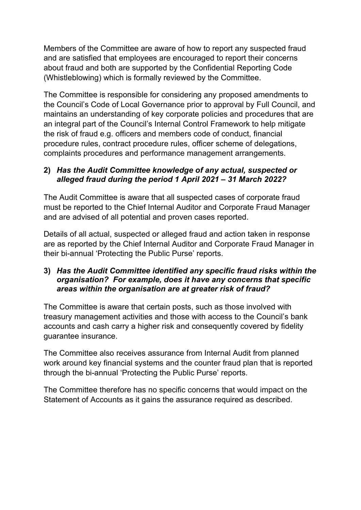Members of the Committee are aware of how to report any suspected fraud and are satisfied that employees are encouraged to report their concerns about fraud and both are supported by the Confidential Reporting Code (Whistleblowing) which is formally reviewed by the Committee.

The Committee is responsible for considering any proposed amendments to the Council's Code of Local Governance prior to approval by Full Council, and maintains an understanding of key corporate policies and procedures that are an integral part of the Council's Internal Control Framework to help mitigate the risk of fraud e.g. officers and members code of conduct, financial procedure rules, contract procedure rules, officer scheme of delegations, complaints procedures and performance management arrangements.

## **2)** *Has the Audit Committee knowledge of any actual, suspected or alleged fraud during the period 1 April 2021 – 31 March 2022?*

The Audit Committee is aware that all suspected cases of corporate fraud must be reported to the Chief Internal Auditor and Corporate Fraud Manager and are advised of all potential and proven cases reported.

Details of all actual, suspected or alleged fraud and action taken in response are as reported by the Chief Internal Auditor and Corporate Fraud Manager in their bi-annual 'Protecting the Public Purse' reports.

## **3)** *Has the Audit Committee identified any specific fraud risks within the organisation? For example, does it have any concerns that specific areas within the organisation are at greater risk of fraud?*

The Committee is aware that certain posts, such as those involved with treasury management activities and those with access to the Council's bank accounts and cash carry a higher risk and consequently covered by fidelity guarantee insurance.

The Committee also receives assurance from Internal Audit from planned work around key financial systems and the counter fraud plan that is reported through the bi-annual 'Protecting the Public Purse' reports.

The Committee therefore has no specific concerns that would impact on the Statement of Accounts as it gains the assurance required as described.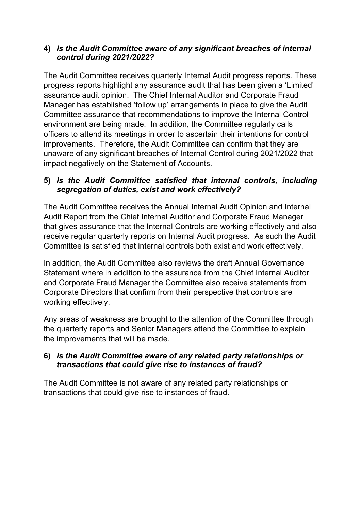## **4)** *Is the Audit Committee aware of any significant breaches of internal control during 2021/2022?*

The Audit Committee receives quarterly Internal Audit progress reports. These progress reports highlight any assurance audit that has been given a 'Limited' assurance audit opinion. The Chief Internal Auditor and Corporate Fraud Manager has established 'follow up' arrangements in place to give the Audit Committee assurance that recommendations to improve the Internal Control environment are being made. In addition, the Committee regularly calls officers to attend its meetings in order to ascertain their intentions for control improvements. Therefore, the Audit Committee can confirm that they are unaware of any significant breaches of Internal Control during 2021/2022 that impact negatively on the Statement of Accounts.

## **5)** *Is the Audit Committee satisfied that internal controls, including segregation of duties, exist and work effectively?*

The Audit Committee receives the Annual Internal Audit Opinion and Internal Audit Report from the Chief Internal Auditor and Corporate Fraud Manager that gives assurance that the Internal Controls are working effectively and also receive regular quarterly reports on Internal Audit progress. As such the Audit Committee is satisfied that internal controls both exist and work effectively.

In addition, the Audit Committee also reviews the draft Annual Governance Statement where in addition to the assurance from the Chief Internal Auditor and Corporate Fraud Manager the Committee also receive statements from Corporate Directors that confirm from their perspective that controls are working effectively.

Any areas of weakness are brought to the attention of the Committee through the quarterly reports and Senior Managers attend the Committee to explain the improvements that will be made.

## **6)** *Is the Audit Committee aware of any related party relationships or transactions that could give rise to instances of fraud?*

The Audit Committee is not aware of any related party relationships or transactions that could give rise to instances of fraud.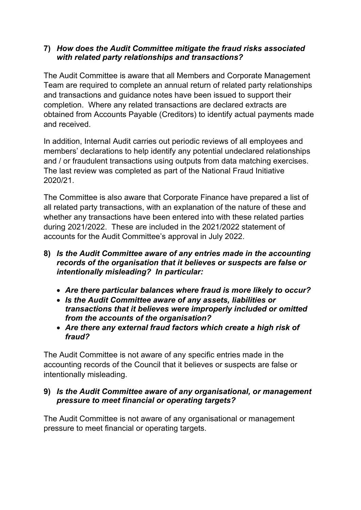## **7)** *How does the Audit Committee mitigate the fraud risks associated with related party relationships and transactions?*

The Audit Committee is aware that all Members and Corporate Management Team are required to complete an annual return of related party relationships and transactions and guidance notes have been issued to support their completion. Where any related transactions are declared extracts are obtained from Accounts Payable (Creditors) to identify actual payments made and received.

In addition, Internal Audit carries out periodic reviews of all employees and members' declarations to help identify any potential undeclared relationships and / or fraudulent transactions using outputs from data matching exercises. The last review was completed as part of the National Fraud Initiative 2020/21.

The Committee is also aware that Corporate Finance have prepared a list of all related party transactions, with an explanation of the nature of these and whether any transactions have been entered into with these related parties during 2021/2022. These are included in the 2021/2022 statement of accounts for the Audit Committee's approval in July 2022.

- **8)** *Is the Audit Committee aware of any entries made in the accounting records of the organisation that it believes or suspects are false or intentionally misleading? In particular:* 
	- *Are there particular balances where fraud is more likely to occur?*
	- *Is the Audit Committee aware of any assets, liabilities or transactions that it believes were improperly included or omitted from the accounts of the organisation?*
	- *Are there any external fraud factors which create a high risk of fraud?*

The Audit Committee is not aware of any specific entries made in the accounting records of the Council that it believes or suspects are false or intentionally misleading.

## **9)** *Is the Audit Committee aware of any organisational, or management pressure to meet financial or operating targets?*

The Audit Committee is not aware of any organisational or management pressure to meet financial or operating targets.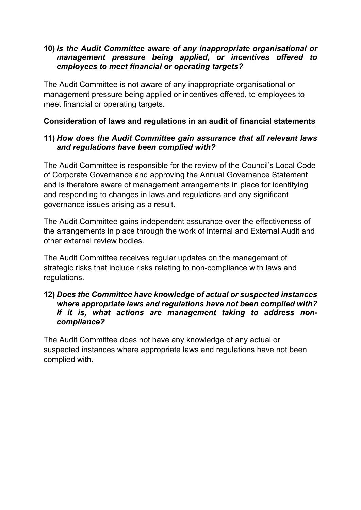## **10)** *Is the Audit Committee aware of any inappropriate organisational or management pressure being applied, or incentives offered to employees to meet financial or operating targets?*

The Audit Committee is not aware of any inappropriate organisational or management pressure being applied or incentives offered, to employees to meet financial or operating targets.

## **Consideration of laws and regulations in an audit of financial statements**

### **11)** *How does the Audit Committee gain assurance that all relevant laws and regulations have been complied with?*

The Audit Committee is responsible for the review of the Council's Local Code of Corporate Governance and approving the Annual Governance Statement and is therefore aware of management arrangements in place for identifying and responding to changes in laws and regulations and any significant governance issues arising as a result.

The Audit Committee gains independent assurance over the effectiveness of the arrangements in place through the work of Internal and External Audit and other external review bodies.

The Audit Committee receives regular updates on the management of strategic risks that include risks relating to non-compliance with laws and regulations.

### **12)** *Does the Committee have knowledge of actual or suspected instances where appropriate laws and regulations have not been complied with? If it is, what actions are management taking to address noncompliance?*

The Audit Committee does not have any knowledge of any actual or suspected instances where appropriate laws and regulations have not been complied with.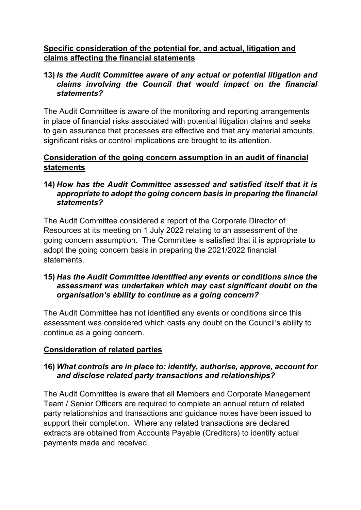## **Specific consideration of the potential for, and actual, litigation and claims affecting the financial statements**

### **13)** *Is the Audit Committee aware of any actual or potential litigation and claims involving the Council that would impact on the financial statements?*

The Audit Committee is aware of the monitoring and reporting arrangements in place of financial risks associated with potential litigation claims and seeks to gain assurance that processes are effective and that any material amounts, significant risks or control implications are brought to its attention.

## **Consideration of the going concern assumption in an audit of financial statements**

## **14)** *How has the Audit Committee assessed and satisfied itself that it is appropriate to adopt the going concern basis in preparing the financial statements?*

The Audit Committee considered a report of the Corporate Director of Resources at its meeting on 1 July 2022 relating to an assessment of the going concern assumption. The Committee is satisfied that it is appropriate to adopt the going concern basis in preparing the 2021/2022 financial statements.

## **15)** *Has the Audit Committee identified any events or conditions since the assessment was undertaken which may cast significant doubt on the organisation's ability to continue as a going concern?*

The Audit Committee has not identified any events or conditions since this assessment was considered which casts any doubt on the Council's ability to continue as a going concern.

## **Consideration of related parties**

## **16)** *What controls are in place to: identify, authorise, approve, account for and disclose related party transactions and relationships?*

The Audit Committee is aware that all Members and Corporate Management Team / Senior Officers are required to complete an annual return of related party relationships and transactions and guidance notes have been issued to support their completion. Where any related transactions are declared extracts are obtained from Accounts Payable (Creditors) to identify actual payments made and received.